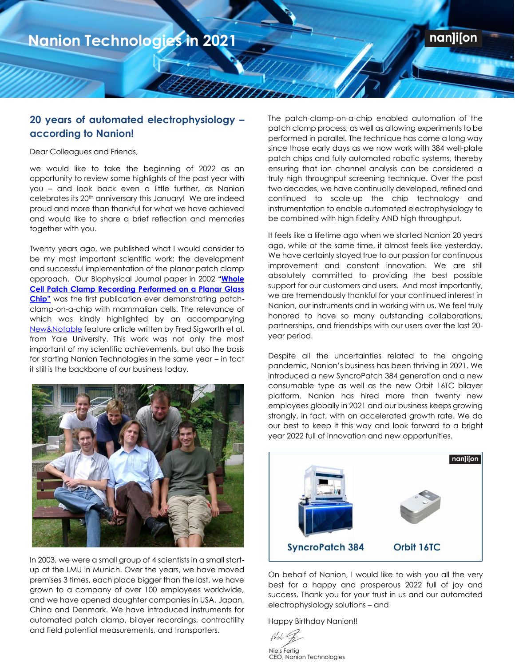## **20 years of automated electrophysiology – according to Nanion!**

Mittin

Dear Colleagues and Friends,

**2021**

we would like to take the beginning of 2022 as an opportunity to review some highlights of the past year with you – and look back even a little further, as Nanion celebrates its 20th anniversary this January! We are indeed proud and more than thankful for what we have achieved and would like to share a brief reflection and memories together with you.

Twenty years ago, we published what I would consider to be my most important scientific work: the development and successful implementation of the planar patch clamp approach. Our Biophysical Journal paper in 2002 **"[Whole](https://www.cell.com/biophysj/fulltext/S0006-3495(02)75646-4)  [Cell Patch Clamp Recording Performed on a Planar Glass](https://www.cell.com/biophysj/fulltext/S0006-3495(02)75646-4)  [Chip"](https://www.cell.com/biophysj/fulltext/S0006-3495(02)75646-4)** was the first publication ever demonstrating patchclamp-on-a-chip with mammalian cells. The relevance of which was kindly highlighted by an accompanying [New&Notable](https://www.cell.com/biophysj/fulltext/S0006-3495(02)75625-7) feature article written by Fred Sigworth et al. from Yale University. This work was not only the most important of my scientific achievements, but also the basis for starting Nanion Technologies in the same year – in fact it still is the backbone of our business today.



In 2003, we were a small group of 4 scientists in a small startup at the LMU in Munich. Over the years, we have moved premises 3 times, each place bigger than the last, we have grown to a company of over 100 employees worldwide, and we have opened daughter companies in USA, Japan, China and Denmark. We have introduced instruments for automated patch clamp, bilayer recordings, contractility and field potential measurements, and transporters.

The patch-clamp-on-a-chip enabled automation of the patch clamp process, as well as allowing experiments to be performed in parallel. The technique has come a long way since those early days as we now work with 384 well-plate patch chips and fully automated robotic systems, thereby ensuring that ion channel analysis can be considered a truly high throughput screening technique. Over the past two decades, we have continually developed, refined and continued to scale-up the chip technology and instrumentation to enable automated electrophysiology to be combined with high fidelity AND high throughput.

**Nanion** 

**Technologies in** 

It feels like a lifetime ago when we started Nanion 20 years ago, while at the same time, it almost feels like yesterday. We have certainly stayed true to our passion for continuous improvement and constant innovation. We are still absolutely committed to providing the best possible support for our customers and users. And most importantly, we are tremendously thankful for your continued interest in Nanion, our instruments and in working with us. We feel truly honored to have so many outstanding collaborations, partnerships, and friendships with our users over the last 20 year period.

Despite all the uncertainties related to the ongoing pandemic, Nanion's business has been thriving in 2021. We introduced a new SyncroPatch 384 generation and a new consumable type as well as the new Orbit 16TC bilayer platform. Nanion has hired more than twenty new employees globally in 2021 and our business keeps growing strongly, in fact, with an accelerated growth rate. We do our best to keep it this way and look forward to a bright year 2022 full of innovation and new opportunities.



On behalf of Nanion, I would like to wish you all the very best for a happy and prosperous 2022 full of joy and success. Thank you for your trust in us and our automated electrophysiology solutions – and

Happy Birthday Nanion!!

Niels Fertig CEO, Nanion Technologies

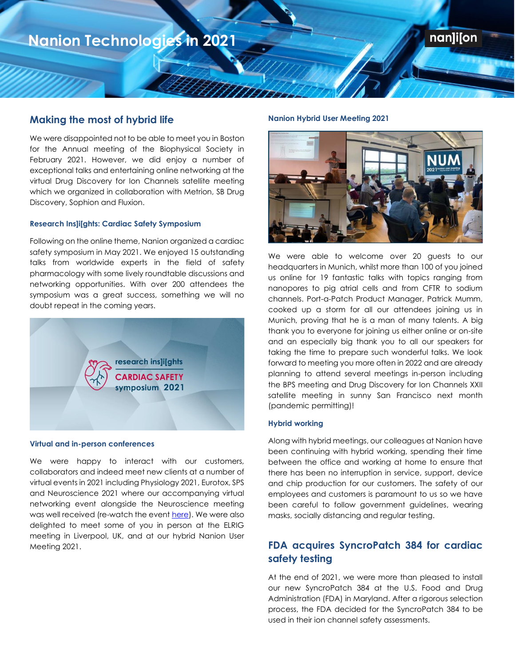### **Making the most of hybrid life**

**2021**

We were disappointed not to be able to meet you in Boston for the Annual meeting of the Biophysical Society in February 2021. However, we did enjoy a number of exceptional talks and entertaining online networking at the virtual Drug Discovery for Ion Channels satellite meeting which we organized in collaboration with Metrion, SB Drug Discovery, Sophion and Fluxion.

### **Research Ins]i[ghts: Cardiac Safety Symposium**

Following on the online theme, Nanion organized a cardiac safety symposium in May 2021. We enjoyed 15 outstanding talks from worldwide experts in the field of safety pharmacology with some lively roundtable discussions and networking opportunities. With over 200 attendees the symposium was a great success, something we will no doubt repeat in the coming years.



### **Virtual and in-person conferences**

We were happy to interact with our customers, collaborators and indeed meet new clients at a number of virtual events in 2021 including Physiology 2021, Eurotox, SPS and Neuroscience 2021 where our accompanying virtual networking event alongside the Neuroscience meeting was well received (re-watch the even[t here\)](https://www.nanion.de/en/news/events/archived-events/7278-09-11-2021-virtual-networking-event-neuroscience-2021.html). We were also delighted to meet some of you in person at the ELRIG meeting in Liverpool, UK, and at our hybrid Nanion User Meeting 2021.

#### **Nanion Hybrid User Meeting 2021**

Wittin



**Nanion** 

**Technologies in** 

nan]i[on

We were able to welcome over 20 guests to our headquarters in Munich, whilst more than 100 of you joined us online for 19 fantastic talks with topics ranging from nanopores to pig atrial cells and from CFTR to sodium channels. Port-a-Patch Product Manager, Patrick Mumm, cooked up a storm for all our attendees joining us in Munich, proving that he is a man of many talents. A big thank you to everyone for joining us either online or on-site and an especially big thank you to all our speakers for taking the time to prepare such wonderful talks. We look forward to meeting you more often in 2022 and are already planning to attend several meetings in-person including the BPS meeting and Drug Discovery for Ion Channels XXII satellite meeting in sunny San Francisco next month (pandemic permitting)!

#### **Hybrid working**

Along with hybrid meetings, our colleagues at Nanion have been continuing with hybrid working, spending their time between the office and working at home to ensure that there has been no interruption in service, support, device and chip production for our customers. The safety of our employees and customers is paramount to us so we have been careful to follow government guidelines, wearing masks, socially distancing and regular testing.

## **FDA acquires SyncroPatch 384 for cardiac safety testing**

At the end of 2021, we were more than pleased to install our new SyncroPatch 384 at the U.S. Food and Drug Administration (FDA) in Maryland. After a rigorous selection process, the FDA decided for the SyncroPatch 384 to be used in their ion channel safety assessments.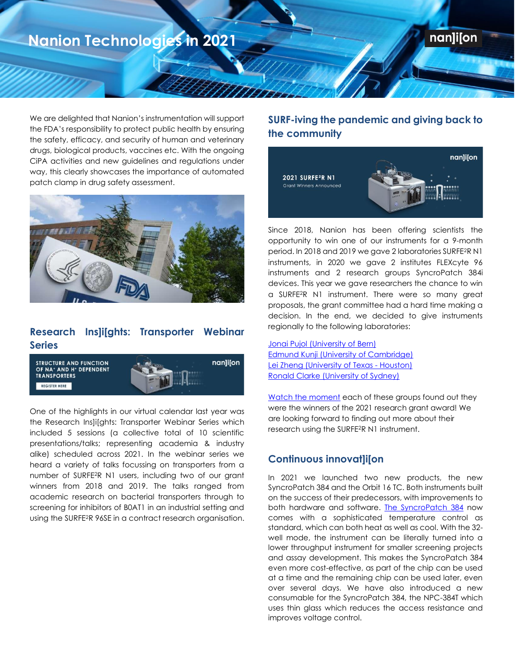## nan]i[on

# **Nanion Technologies in 2021**

**2021**

We are delighted that Nanion's instrumentation will support the FDA's responsibility to protect public health by ensuring the safety, efficacy, and security of human and veterinary drugs, biological products, vaccines etc. With the ongoing CiPA activities and new guidelines and regulations under way, this clearly showcases the importance of automated patch clamp in drug safety assessment.

MMm



## **Research Ins]i[ghts: Transporter Webinar Series**



One of the highlights in our virtual calendar last year was the Research Ins]i[ghts: Transporter Webinar Series which included 5 sessions (a collective total of 10 scientific presentations/talks; representing academia & industry alike) scheduled across 2021. In the webinar series we heard a variety of talks focussing on transporters from a number of SURFE<sup>2</sup>R N1 users, including two of our grant winners from 2018 and 2019. The talks ranged from academic research on bacterial transporters through to screening for inhibitors of B0AT1 in an industrial setting and using the SURFE<sup>2</sup>R 96SE in a contract research organisation.

## **SURF-iving the pandemic and giving back to the community**

**Nanion** 

**Technologies in** 



Since 2018, Nanion has been offering scientists the opportunity to win one of our instruments for a 9-month period. In 2018 and 2019 we gave 2 laboratories SURFE<sup>2</sup>R N1 instruments, in 2020 we gave 2 institutes FLEXcyte 96 instruments and 2 research groups SyncroPatch 384i devices. This year we gave researchers the chance to win a SURFE<sup>2</sup>R N1 instrument. There were so many great proposals, the grant committee had a hard time making a decision. In the end, we decided to give instruments regionally to the following laboratories:

Jonai Pujol [\(University of Bern\)](https://www.nanion.de/en/company/research-grants.html#surfe2r_n1_research_grants) [Edmund Kunji \(University of Cambridge\)](https://www.nanion.de/en/company/research-grants.html#surfe2r_n1_research_grants) [Lei Zheng \(University of Texas -](https://www.nanion.de/en/company/research-grants.html#surfe2r_n1_research_grants) Houston[\)](https://www.nanion.de/en/company/research-grants.html#surfe2r_n1_research_grants) [Ronald Clarke \(University of Sydney\)](https://www.nanion.de/en/company/research-grants.html#surfe2r_n1_research_grants)

[Watch the moment](https://www.nanion.de/en/company/research-grants.html#surfe2r_n1_research_grants) each of these groups found out they were the winners of the 2021 research grant award! We are looking forward to finding out more about their research using the SURFE<sup>2</sup>R N1 instrument.

## **Continuous innovat]i[on**

In 2021 we launched two new products, the new SyncroPatch 384 and the Orbit 16 TC. Both instruments built on the success of their predecessors, with improvements to both hardware and software. [The SyncroPatch](https://www.nanion.de/images/Images_tiff_jpg_png/Products_SyncroPatch_384/SyncroPatch_Interactive_Brochure.pdf) 384 now comes with a sophisticated temperature control as standard, which can both heat as well as cool. With the 32 well mode, the instrument can be literally turned into a lower throughput instrument for smaller screening projects and assay development. This makes the SyncroPatch 384 even more cost-effective, as part of the chip can be used at a time and the remaining chip can be used later, even over several days. We have also introduced a new consumable for the SyncroPatch 384, the NPC-384T which uses thin glass which reduces the access resistance and improves voltage control.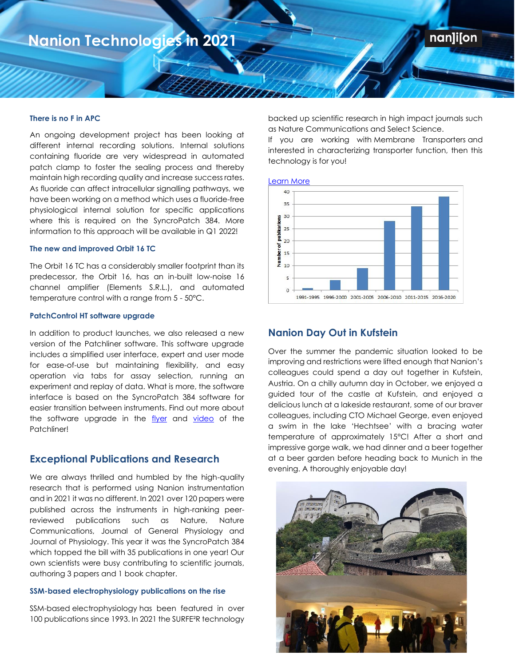#### **There is no F in APC**

**2021**

An ongoing development project has been looking at different internal recording solutions. Internal solutions containing fluoride are very widespread in automated patch clamp to foster the sealing process and thereby maintain high recording quality and increase success rates. As fluoride can affect intracellular signalling pathways, we have been working on a method which uses a fluoride-free physiological internal solution for specific applications where this is required on the SyncroPatch 384. More information to this approach will be available in Q1 2022!

#### **The new and improved Orbit 16 TC**

The Orbit 16 TC has a considerably smaller footprint than its predecessor, the Orbit 16, has an in-built low-noise 16 channel amplifier (Elements S.R.L.), and automated temperature control with a range from 5 - 50°C.

### **PatchControl HT software upgrade**

In addition to product launches, we also released a new version of the Patchliner software. This software upgrade includes a simplified user interface, expert and user mode for ease-of-use but maintaining flexibility, and easy operation via tabs for assay selection, running an experiment and replay of data. What is more, the software interface is based on the SyncroPatch 384 software for easier transition between instruments. Find out more about the software upgrade in the [flyer](https://www.nanion.de/images/phocadownloadpap/Product_Sheet_Flyer/Nanion_Product_Flyer_PL_SW_Update_2021.pdf) and [video](https://www.nanion.de/en/products/patchliner/137-home/articles/7236-2021-patchliner-product-video.html) of the Patchliner!

### **Exceptional Publications and Research**

We are always thrilled and humbled by the high-quality research that is performed using Nanion instrumentation and in 2021 it was no different. In 2021 over 120 papers were published across the instruments in high-ranking peerreviewed publications such as Nature, Nature Communications, Journal of General Physiology and Journal of Physiology. This year it was the SyncroPatch 384 which topped the bill with 35 publications in one year! Our own scientists were busy contributing to scientific journals, authoring 3 papers and 1 book chapter.

#### **SSM-based electrophysiology publications on the rise**

SSM-based [electrophysiology](https://www.linkedin.com/feed/hashtag/?keywords=electrophysiology&highlightedUpdateUrns=urn%3Ali%3Aactivity%3A6833412373227810818) has been featured in over 100 publications since 1993. In 2021 the SURFE²R technology

backed up scientific research in high impact journals such as [Nature Communications](https://www.linkedin.com/feed/hashtag/?keywords=naturecommunications&highlightedUpdateUrns=urn%3Ali%3Aactivity%3A6833412373227810818) and Select Science.

**Nanion** 

**Technologies in** 

nan]i[on

If you are working with [Membrane Transporters](https://www.linkedin.com/feed/hashtag/?keywords=membranetransporters&highlightedUpdateUrns=urn%3Ali%3Aactivity%3A6833412373227810818) and interested in characterizing transporter function, then this technology is for you!

[Learn More](https://bit.ly/3smrjXW)

UUTA



## **Nanion Day Out in Kufstein**

Over the summer the pandemic situation looked to be improving and restrictions were lifted enough that Nanion's colleagues could spend a day out together in Kufstein, Austria. On a chilly autumn day in October, we enjoyed a guided tour of the castle at Kufstein, and enjoyed a delicious lunch at a lakeside restaurant, some of our braver colleagues, including CTO Michael George, even enjoyed a swim in the lake 'Hechtsee' with a bracing water temperature of approximately 15°C! After a short and impressive gorge walk, we had dinner and a beer together at a beer garden before heading back to Munich in the evening. A thoroughly enjoyable day!